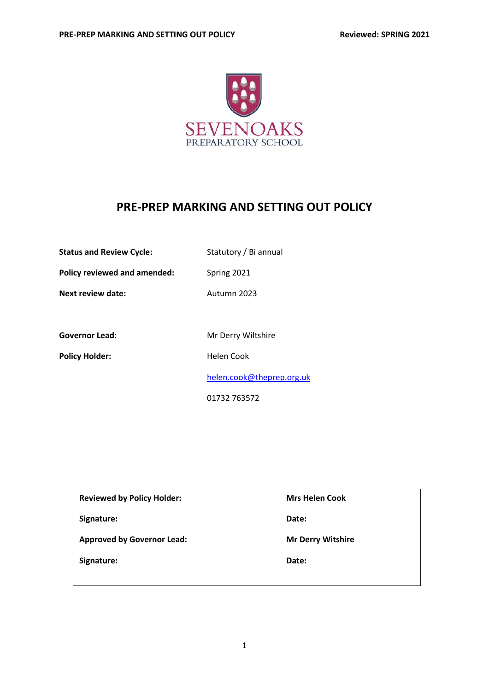

# **PRE-PREP MARKING AND SETTING OUT POLICY**

| <b>Status and Review Cycle:</b> | Statutory / Bi annual |  |
|---------------------------------|-----------------------|--|
|---------------------------------|-----------------------|--|

**Policy reviewed and amended:** Spring 2021

**Next review date:** Autumn 2023

Governor Lead: Mr Derry Wiltshire

Policy Holder: **Helen Cook** 

[helen.cook@theprep.org.uk](mailto:helen.cook@theprep.org.uk)

01732 763572

| <b>Reviewed by Policy Holder:</b> | <b>Mrs Helen Cook</b>    |
|-----------------------------------|--------------------------|
| Signature:                        | Date:                    |
| <b>Approved by Governor Lead:</b> | <b>Mr Derry Witshire</b> |
| Signature:                        | Date:                    |
|                                   |                          |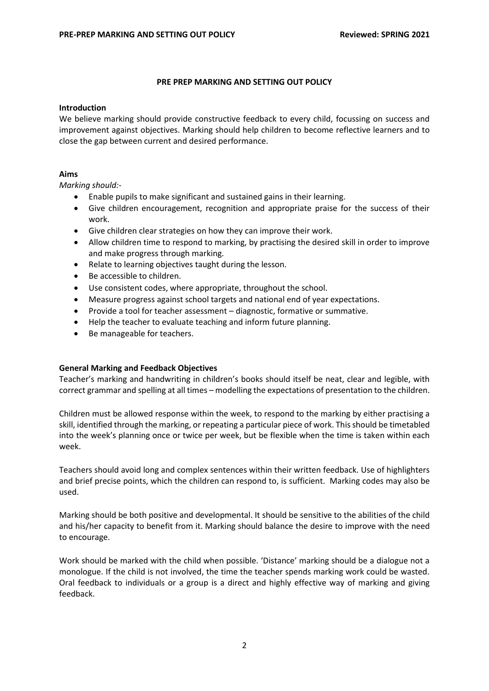# **PRE PREP MARKING AND SETTING OUT POLICY**

#### **Introduction**

We believe marking should provide constructive feedback to every child, focussing on success and improvement against objectives. Marking should help children to become reflective learners and to close the gap between current and desired performance.

# **Aims**

*Marking should:-*

- Enable pupils to make significant and sustained gains in their learning.
- Give children encouragement, recognition and appropriate praise for the success of their work.
- Give children clear strategies on how they can improve their work.
- Allow children time to respond to marking, by practising the desired skill in order to improve and make progress through marking.
- Relate to learning objectives taught during the lesson.
- Be accessible to children.
- Use consistent codes, where appropriate, throughout the school.
- Measure progress against school targets and national end of year expectations.
- Provide a tool for teacher assessment diagnostic, formative or summative.
- Help the teacher to evaluate teaching and inform future planning.
- Be manageable for teachers.

# **General Marking and Feedback Objectives**

Teacher's marking and handwriting in children's books should itself be neat, clear and legible, with correct grammar and spelling at all times – modelling the expectations of presentation to the children.

Children must be allowed response within the week, to respond to the marking by either practising a skill, identified through the marking, or repeating a particular piece of work. This should be timetabled into the week's planning once or twice per week, but be flexible when the time is taken within each week.

Teachers should avoid long and complex sentences within their written feedback. Use of highlighters and brief precise points, which the children can respond to, is sufficient. Marking codes may also be used.

Marking should be both positive and developmental. It should be sensitive to the abilities of the child and his/her capacity to benefit from it. Marking should balance the desire to improve with the need to encourage.

Work should be marked with the child when possible. 'Distance' marking should be a dialogue not a monologue. If the child is not involved, the time the teacher spends marking work could be wasted. Oral feedback to individuals or a group is a direct and highly effective way of marking and giving feedback.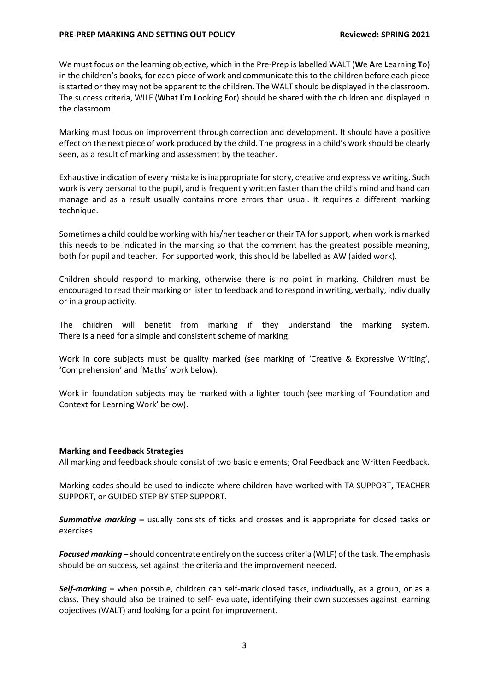We must focus on the learning objective, which in the Pre-Prep is labelled WALT (**W**e **A**re **L**earning **T**o) in the children's books, for each piece of work and communicate this to the children before each piece is started or they may not be apparent to the children. The WALT should be displayed in the classroom. The success criteria, WILF (**W**hat **I**'m **L**ooking **F**or) should be shared with the children and displayed in the classroom.

Marking must focus on improvement through correction and development. It should have a positive effect on the next piece of work produced by the child. The progress in a child's work should be clearly seen, as a result of marking and assessment by the teacher.

Exhaustive indication of every mistake is inappropriate for story, creative and expressive writing. Such work is very personal to the pupil, and is frequently written faster than the child's mind and hand can manage and as a result usually contains more errors than usual. It requires a different marking technique.

Sometimes a child could be working with his/her teacher or their TA for support, when work is marked this needs to be indicated in the marking so that the comment has the greatest possible meaning, both for pupil and teacher. For supported work, this should be labelled as AW (aided work).

Children should respond to marking, otherwise there is no point in marking. Children must be encouraged to read their marking or listen to feedback and to respond in writing, verbally, individually or in a group activity.

The children will benefit from marking if they understand the marking system. There is a need for a simple and consistent scheme of marking.

Work in core subjects must be quality marked (see marking of 'Creative & Expressive Writing', 'Comprehension' and 'Maths' work below).

Work in foundation subjects may be marked with a lighter touch (see marking of 'Foundation and Context for Learning Work' below).

#### **Marking and Feedback Strategies**

All marking and feedback should consist of two basic elements; Oral Feedback and Written Feedback.

Marking codes should be used to indicate where children have worked with TA SUPPORT, TEACHER SUPPORT, or GUIDED STEP BY STEP SUPPORT.

*Summative marking* **–** usually consists of ticks and crosses and is appropriate for closed tasks or exercises.

*Focused marking* **–** should concentrate entirely on the success criteria (WILF) of the task. The emphasis should be on success, set against the criteria and the improvement needed.

*Self-marking* **–** when possible, children can self-mark closed tasks, individually, as a group, or as a class. They should also be trained to self- evaluate, identifying their own successes against learning objectives (WALT) and looking for a point for improvement.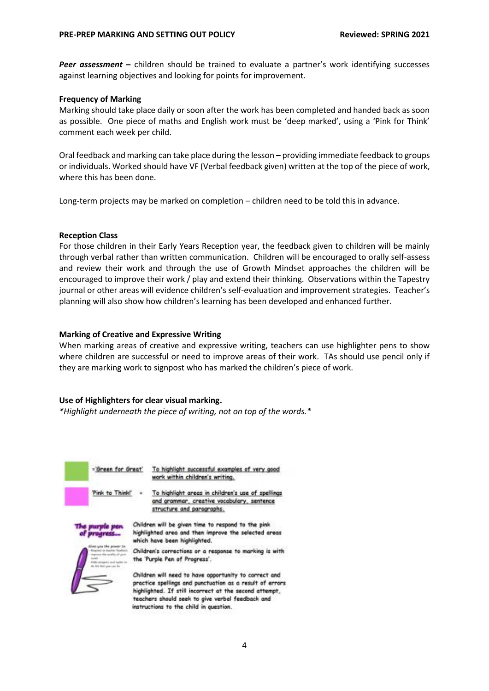**Peer assessment** – children should be trained to evaluate a partner's work identifying successes against learning objectives and looking for points for improvement.

## **Frequency of Marking**

Marking should take place daily or soon after the work has been completed and handed back as soon as possible. One piece of maths and English work must be 'deep marked', using a 'Pink for Think' comment each week per child.

Oral feedback and marking can take place during the lesson – providing immediate feedback to groups or individuals. Worked should have VF (Verbal feedback given) written at the top of the piece of work, where this has been done.

Long-term projects may be marked on completion – children need to be told this in advance.

## **Reception Class**

For those children in their Early Years Reception year, the feedback given to children will be mainly through verbal rather than written communication. Children will be encouraged to orally self-assess and review their work and through the use of Growth Mindset approaches the children will be encouraged to improve their work / play and extend their thinking. Observations within the Tapestry journal or other areas will evidence children's self-evaluation and improvement strategies. Teacher's planning will also show how children's learning has been developed and enhanced further.

## **Marking of Creative and Expressive Writing**

When marking areas of creative and expressive writing, teachers can use highlighter pens to show where children are successful or need to improve areas of their work. TAs should use pencil only if they are marking work to signpost who has marked the children's piece of work.

# **Use of Highlighters for clear visual marking.**

*\*Highlight underneath the piece of writing, not on top of the words.\**

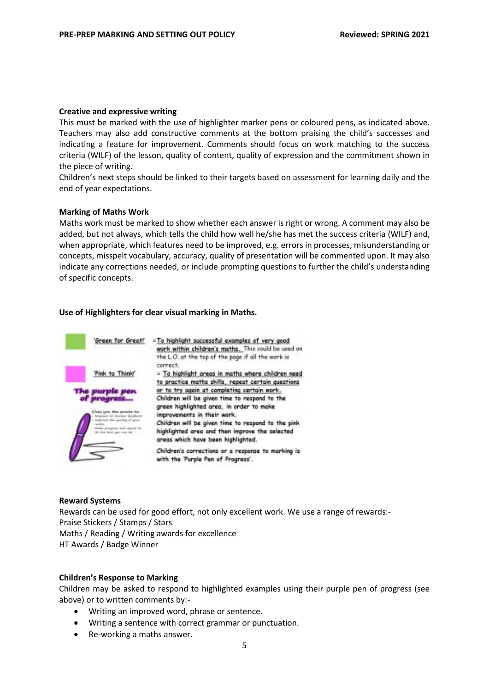#### **Creative and expressive writing**

This must be marked with the use of highlighter marker pens or coloured pens, as indicated above. Teachers may also add constructive comments at the bottom praising the child's successes and indicating a feature for improvement. Comments should focus on work matching to the success criteria (WILF) of the lesson, quality of content, quality of expression and the commitment shown in the piece of writing.

Children's next steps should be linked to their targets based on assessment for learning daily and the end of year expectations.

## **Marking of Maths Work**

Maths work must be marked to show whether each answer is right or wrong. A comment may also be added, but not always, which tells the child how well he/she has met the success criteria (WILF) and, when appropriate, which features need to be improved, e.g. errors in processes, misunderstanding or concepts, misspelt vocabulary, accuracy, quality of presentation will be commented upon. It may also indicate any corrections needed, or include prompting questions to further the child's understanding of specific concepts.

## **Use of Highlighters for clear visual marking in Maths.**



#### **Reward Systems**

Rewards can be used for good effort, not only excellent work. We use a range of rewards:- Praise Stickers / Stamps / Stars Maths / Reading / Writing awards for excellence HT Awards / Badge Winner

# **Children's Response to Marking**

Children may be asked to respond to highlighted examples using their purple pen of progress (see above) or to written comments by:-

- Writing an improved word, phrase or sentence.
- Writing a sentence with correct grammar or punctuation.
- Re-working a maths answer.